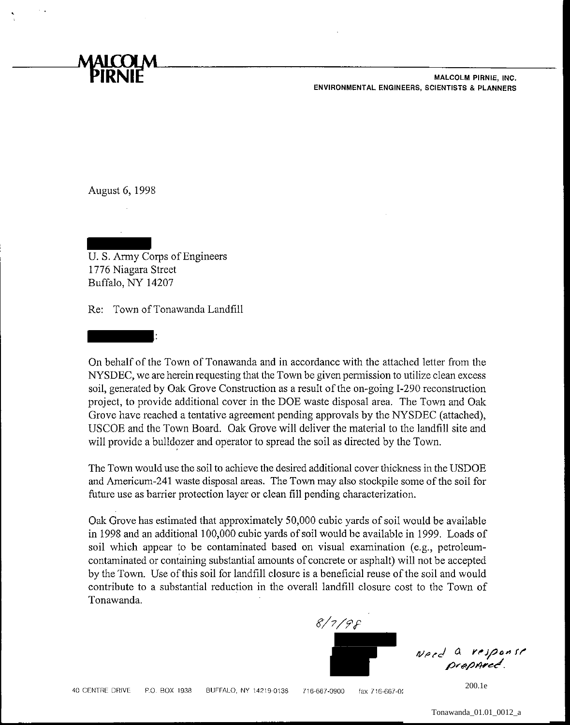--------~~L----------------------------------------M-AL-C-OL-M-P-IR-N-IE-,-IN-C.----- ENVIRONMENTAL ENGINEERS, SCIENTISTS & PLANNERS

August 6, 1998

U. S. Army Corps of Engineers 1776 Niagara Street Buffalo, NY 14207

Re: Town of Tonawanda Landfill

:

On behalf of the Town of Tonawanda and in accordance with the attached letter from the NYSDEC, we are herein requesting that the Town be given permission to utilize clean excess soil, generated by Oak Grove Construction as a result of the on-going 1-290 reconstruction project, to provide additional cover in the DOE waste disposal area. The Town and Oak Grove have reached a tentative agreement pending approvals by the NYSDEC (attached), USCOE and the Town Board. Oak Grove will deliver the material to the landfill site and will provide a bulldozer and operator to spread the soil as directed by the Town.

The Town would use the soil to achieve the desired additional cover thickness in the USDOE and Americum-241 waste disposal areas. The Town may also stockpile some of the soil for future use as barrier protection layer or clean fill pending characterization.

Oak Grove has estimated that approximately 50,000 cubic yards of soil would be available in 1998 and an additional 100,000 cubic yards of soil would be available in 1999. Loads of soil which appear to be contaminated based on visual examination (e.g., petroleumcontaminated or containing substantial amounts of concrete or asphalt) will not be accepted by the Town. Use of this soil for landfill closure is a beneficial reuse of the soil and would contribute to a substantial reduction in the overall landfill closure cost to the Town of Tonawanda.



Need a response

40 CENTRE DRIVE P.O. BOX 1938 BUFFALO, NY 14219-0138 716-667-0900 fax 716-667-02